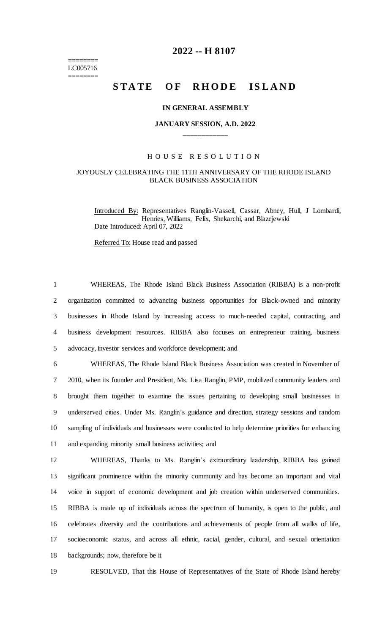======== LC005716 ========

## **2022 -- H 8107**

# STATE OF RHODE ISLAND

#### **IN GENERAL ASSEMBLY**

## **JANUARY SESSION, A.D. 2022 \_\_\_\_\_\_\_\_\_\_\_\_**

## H O U S E R E S O L U T I O N

## JOYOUSLY CELEBRATING THE 11TH ANNIVERSARY OF THE RHODE ISLAND BLACK BUSINESS ASSOCIATION

Introduced By: Representatives Ranglin-Vassell, Cassar, Abney, Hull, J Lombardi, Henries, Williams, Felix, Shekarchi, and Blazejewski Date Introduced: April 07, 2022

Referred To: House read and passed

 WHEREAS, The Rhode Island Black Business Association (RIBBA) is a non-profit organization committed to advancing business opportunities for Black-owned and minority businesses in Rhode Island by increasing access to much-needed capital, contracting, and business development resources. RIBBA also focuses on entrepreneur training, business advocacy, investor services and workforce development; and

 WHEREAS, The Rhode Island Black Business Association was created in November of 2010, when its founder and President, Ms. Lisa Ranglin, PMP, mobilized community leaders and brought them together to examine the issues pertaining to developing small businesses in underserved cities. Under Ms. Ranglin's guidance and direction, strategy sessions and random sampling of individuals and businesses were conducted to help determine priorities for enhancing and expanding minority small business activities; and

 WHEREAS, Thanks to Ms. Ranglin's extraordinary leadership, RIBBA has gained significant prominence within the minority community and has become an important and vital voice in support of economic development and job creation within underserved communities. RIBBA is made up of individuals across the spectrum of humanity, is open to the public, and celebrates diversity and the contributions and achievements of people from all walks of life, socioeconomic status, and across all ethnic, racial, gender, cultural, and sexual orientation backgrounds; now, therefore be it

19 RESOLVED, That this House of Representatives of the State of Rhode Island hereby